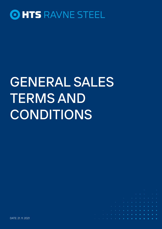

# GENERAL SALES TERMS AND CONDITIONS

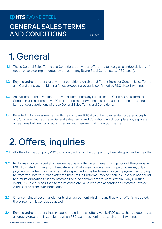### GENERAL SALES TERMS AND CONDITIONS 21.11.2021

# 1. General

- 1.1 These General Sales Terms and Conditions apply to all offers and to every sale and/or delivery of goods or service implemented by the company Ravne Steel Center d.o.o. (RSC d.o.o.).
- 1.2 Buyer's and/or orderer's or any other conditions which are different from our General Sales Terms and Conditions are not binding for us, except if previously confirmed by RSC d.o.o. in writing.
- 1.3 An agreement on deviation of individual items from any item from the General Sales Terms and Conditions of the company RSC d.o.o. confirmed in writing has no influence on the remaining items and/or stipulations of these General Sales Terms and Conditions.
- 1.4 By entering into an agreement with the company RSC d.o.o., the buyer and/or orderer accepts and/or acknowledges these General Sales Terms and Conditions which complete any separate agreemens between contracting parties and they are binding on both parties.

### 2. Offers, inquiries

- 2.1 All offers by the company RSC d.o.o. are binding on the company by the date specified in the offer.
- 2.2 Proforma-Invoice issued shall be deemed as an offer. In such event, obligations of the company RSC d.o.o. start running from the date when Proforma-Invoice amount is paid, however, only if payment is made within the time limit as specified in the Proforma-Invoice. If payment according to Proforma-Invoice is made after the time limit in Proforma-Invoice, then RSC d.o.o. is not bound to fulfill its obligations if it has informed the buyer and/or orderer of this within 8 days. In such event, RSC d.o.o. binds itself to return complete value received according to Proforma-Invoice within 8 days from such notification.
- 2.3 Offer contains all essential elements of an agreement which means that when offer is accepted, the agreement is concluded as well.
- 2.4 Buyer's and/or orderer's inquiry submitted prior to an offer given by RSC d.o.o. shall be deemed as an order. Agreement is concluded when RSC d.o.o. has confirmed such order in writing.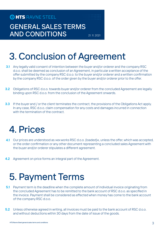### GENERAL SALES TERMS AND CONDITIONS 21.11.2021

# 3. Conclusion of Agreement

- **3.1** Any legally valid consent of intention between the buyer and/or orderer and the company RSC d.o.o. shall be deemed as conclusion of an Agreement, in particular a written acceptance of the offer submitted by the company RSC d.o.o. to the buyer and/or orderer and a written confirmation by the company RSC d.o.o. of the order given by the buyer and/or orderer prior to the offer.
- **3.2** Obligations of RSC d.o.o. towards buyer and/or orderer from the concluded Agreement are legally binding upon RSC d.o.o. from the conclusion of the Agreement onwards.
- **3.3** If the buyer and / or the client terminates the contract, the provisions of the Obligations Act apply. In any case, RSC d.o.o. claim compensation for any costs and damages incurred in connection with the termination of the contract.

### 4. Prices

- 4.1 Our prices are understood as »ex works RSC d.o.o. (loaded)«, unless the offer, which was accepted, or the order confirmation or any other document representing a concluded sales Agreement with the buyer and/or orderer stipulates a different agreement.
- 4.2 Agreement on price forms an integral part of the Agreement.

### 5. Payment Terms

- **5.1** Payment term is the deadline when the complete amount of individual invoice originating from the concluded Agreement has to be remitted to the bank account of RSC d.o.o. as specified in the invoice. Payment shall be considered as effected when money has come to the bank account of the company RSC d.o.o.
- **5.2** Unless otherwise agreed in writing, all invoices must be paid to the bank account of RSC d.o.o. and without deductions within 30 days from the date of issue of the goods.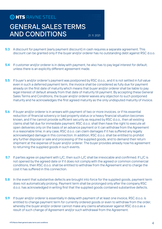### GENERAL SALES TERMS AND CONDITIONS 21. 11. 2021

- **5.3** A discount for payment (early payment discount) in cash requires a separate agreement. This discount can be granted only if the buyer and/or orderer has no outstanding debt against RSC d.o.o.
- 5.4 If customer and/or orderer is in delay with payment, he also has to pay legal interest for default, unless there is an explicitly different agreement made.
- 5.5 If buyer's and/or orderer's payment was postponed by RSC d.o.o., and it is not settled in full value even in such a deferred payment term, the invoice shall be considered as fully due for payment already on the first date of maturity which means that buyer and/or orderer shall be liable to pay legal interest of default already from that date of maturity till payment. By accepting these General Sales Terms and Conditions, the buyer and/or orderer waives any objection to such postponed maturity and he acknowledges the first agreed maturity as the only undisputed maturity of invoice.
- 5.6 If buyer and/or orderer is in arrears with payment of two or more invoices, or if his essential reduction of financial solvency or bad property status or a heavy financial situation becomes known, and if he cannot provide sufficient security as required by RSC d.o.o., then all existing claims shall fall due for immediate payment. RSC d.o.o. shall then have the right to execute all open deliveries only on the basis of an advance payment or it can withdraw from the Agreement in a reasonable time; in any case, RSC d.o.o. can claim damages if it has suffered any legally acknowledged damage in this connection. In addition, RSC d.o.o. shall be entitled to prohibit any further disposal or sale and processing of the supplied goods, and to demand their return shipment at the expense of buyer and/or orderer. The buyer provides already now his agreement to returning the supplied goods in such events.
- 5.7 If parties agree on payment with L/C, then such L/C shall be irrevocable and confirmed. If L/C is not opened by the agreed date or if it does not comply with the agreed or common commercial conditions, then RSC d.o.o. shall be entitled to withdraw from the Agreement and to charge the cost it has suffered in this connection.
- 5.8 In the event that substantive defects are brought into force for the supplied goods, payment term does not automatically prolong. Payment term shall be prolonged only after the company RSC d.o.o. has acknowledged in writing first that the supplied goods contained substantive defects.
- 5.9 If buyer and/or orderer is essentially in delay with payment of at least one invoice, RSC d.o.o. is entitled to change payment term for currently ordered goods or even to withdraw from the order, whereby the buyer and/or orderer cannot make any claims whatsoever against RSC d.o.o.as a result of such change of Agreement and/or such withdrawal from the Agreement.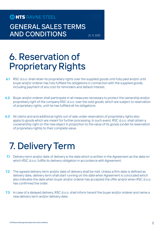GENERAL SALES TERMS AND CONDITIONS 21.11. 2021

### 6. Reservation of Proprietary Rights

- 6.1 RSC d.o.o. shall retain its proprietary rights over the supplied goods until fully paid and/or until buyer and/or orderer has fully fulfilled his obligations in connection with the supplied goods, including payment of any cost for reminders and default interest.
- 6.2 Buyer and/or orderer shall participate in all measures necessary to protect the ownership and/or proprietary right of the company RSC d.o.o. over the sold goods, which are subject to reservation of proprietary rights, until he has fulfilled all his obligations.
- 6.3 All claims and and additional rights out of sale under reservation of proprietary rights also apply to goods which are meant for further processing. In such event, RSC d.o.o. shall obtain a coownership right on the new object in proportion to the value of its goods (under its reservation of proprietary rights) to their complete value.

### 7. Delivery Term

- 7.1 Delivery term and/or date of delivery is the date which is written in the Agreement as the date on which RSC d.o.o. fulfills its delivery obligation in accordance with Agreement.
- 7.2 The agreed delivery term and/or date of delivery shall be met. Unless a firm date is defined as delivery date, delivery term shall start running on the date when Agreement is concluded which also indicates the date when buyer and/or orderer has accepted the offer and/or when RSC d.o.o. has confirmed the order.
- 7.3 In case of a delayed delivery, RSC d.o.o. shall inform hereof the buyer and/or orderer and name a new delivery term and/or delivery date.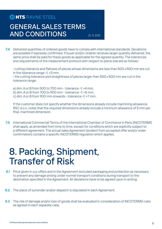### GENERAL SALES TERMS AND CONDITIONS 21. 11. 2021

7.4 Delivered quantities of ordered goods have to comply with international standards. Deviations are possible if expressly confirmed. If buyer and/or orderer receives larger quantity delivered, the same price shall be paid for these goods as applicable for the agreed quantity. The tolerances and requirements of the measurement protocol with respect to piece size are as follows:

· cutting tolerance and flatness of pieces whose dimensions are less than 500 x 500 mm are cut in the tolerance range -1; +3 mm.

· the cutting tolerance and straightness of pieces larger than 500 x 500 mm are cut in the tolerance range:

- a) dim. A or B from 500 to 700 mm tolerance -1; +4 mm,
- b) dim. A or B from 700 to 900 mm tolerance -1: +5 mm,
- c) dim. A or B from 900 mm onwards tolerance -1; +7 mm.

If the customer does not specify whether the dimensions already include machining allowance, RSC d.o.o. notes that the required dimensions already include a minimum allowance of 5 mm per final, machined dimension.

7.5 International Commercial Terms of the International Chamber of Commerce in Paris (INCOTERMS shall apply, as amended from time to time, except for conditions which are explicitly subject to a different agreement. The actual sales Agreement (evident from accepted offer and/or order confirmation) contains a specific INCOTERMS regulation which applies.

### 8. Packing, Shipment, Transfer of Risk

- 8.1 Price given in our offers and in the Agreement excluded packaging and protection as necessary to prevent any damage arising under normal transport conditions during transport to the destination specified in the Agreement. All deviations have to be agreed upon in writing.
- 8.2 The place of surrender and/or dispatch is stipulated in each Agreement.
- 8.3 The risk of damage and/or loss of goods shall be evaluated in consideration of INCOTERMS rules as agreed in each separate case.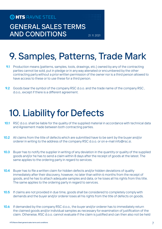GENERAL SALES TERMS AND CONDITIONS 21. 11. 2021

# 9. Samples, Patterns, Trade Mark

- **9.1** Production means (patterns, samples, tools, drawings, etc.) owned by any of the contracting parties cannot be sold, put in pledge or in any way alienated or encumbered by the other contracting party without a prior written permission of the owner nor is a third person allowed to have access to these or to use these for a third person.
- 9.2 Goods bear the symbol of the company RSC d.o.o. and the trade name of the company RSC, d.o.o., except if there is a different agreement.

## 10. Liability for Defects

- 10.1 RSC d.o.o. shall be liable for the quality of the supplied material in accordance with technical data and Agreement made between both contracting parties.
- 10.2 All claims from the title of defects which are submitted have to be sent by the buyer and/or orderer in writing to the address of the company RSC d.o.o. or on e-mail info@rsc.si.
- 10.3 Buyer has to notify the supplier in writing of any deviation in the quantity or quality of the supplied goods and/or he has to send a claim within 8 days after the receipt of goods at the latest. The same applies to the ordering party in regard to services.
- 10.4 Buyer has to file a written claim for hidden defects and/or hidden deviations of quality immediately after their discovery, however, no later than within 6 months from the receipt of goods, and he has to attach adequate samples and data, or he loses all his rights from this title. The same applies to the ordering party in regard to services.
- **10.5** If claims are not provided in due time, goods shall be considered to completely comply with demands and the buyer and/or orderer loses all his rights from the title of defects on goods.
- 10.6 If demanded by the company RSC d.o.o., the buyer and/or orderer has to immediately return the claimed goods and/or individual samples as necessary for examination of justification of the claim. Otherwise, RSC d.o.o. cannot evaluate if the claim is justified and can then also not be held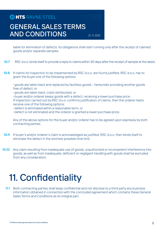### GENERAL SALES TERMS AND CONDITIONS 21.11.2021

liable for elimination of defects. Its obligations shall start running only after the receipt of claimed goods and/or separate samples.

- 10.7 RSC d.o.o. binds itself to provide a reply to claims within 30 days after the receipt of sample at the latest.
- 10.8 If claims for inspection to be implemented by RSC d.o.o. are found justified, RSC d.o.o. has to grant the buyer one of the following options:

· goods are taken back and replaced by faultless goods – hereunder providing another goods free of defect, or

· goods are taken back, costs reimbursed, or

· buyer and/or orderer keeps goods with a defect, receiving a lower purchase price. If inspection carried out by RSC d.o.o. confirms justification of claims, then the orderer hasto receive one of the following options:

- · defect is eliminated within a reasonable term, or
- · defect is not eliminated and the orderer is granted a lower purchase price.

Any of the above options for the buyer and/or orderer has to be agreed upon expressly by both contracting parties.

- 10.9 If buyer's and/or orderer's claim is acknowledged as justified, RSC d.o.o. then binds itself to eliminate the defect in the shortest possible time limit.
- 10.10 Any claim resulting from inadequate use of goods, unauthorized or incompetent interference into goods, as well as from inadequate, deficient or negligent handling with goods shall be excluded from any consideration.

### 11. Confidentiality

11.1 Both contracting parties shall keep confidential and not disclose to a third party any business information obtained in connection with the concluded agreement which contains these General Sales Terms and Conditions as its integral part.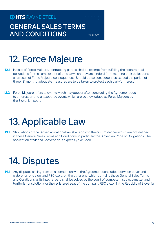#### GENERAL SALES TERMS AND CONDITIONS 21. 11. 2021

## 12. Force Majeure

- 12.1 In case of Force Majeure, contracting parties shall be exempt from fulfilling their contractual obligations for the same extent of time to which they are hinderd from meeting their obligations as a result of Force Majeure consequences. Should these consequences exceed the period of three (3) months, adequate measures are to be taken to protect each party's interest.
- 12.2 Force Majeure refers to events which may appear after concluding the Agreement due to unforeseen and unexpected events which are acknowledged as Force Majeure by the Slovenian court.

### 13. Applicable Law

13.1 Stipulations of the Slovenian national law shall apply to the circumstances which are not defined in these General Sales Terms and Conditions, in particular the Slovenian Code of Obligations. The application of Vienna Convention is expressly excluded.

### 14. Disputes

14.1 Any disputes arising from or in connection with the Agreement concluded between buyer and orderer on one side, and RSC d.o.o. on the other one, which contains these General Sales Terms and Conditions as its integral part, shall be solved by the court of competent subject-matter and territorial jurisdiction (for the registered seat of the company RSC d.o.o.) in the Republic of Slovenia.